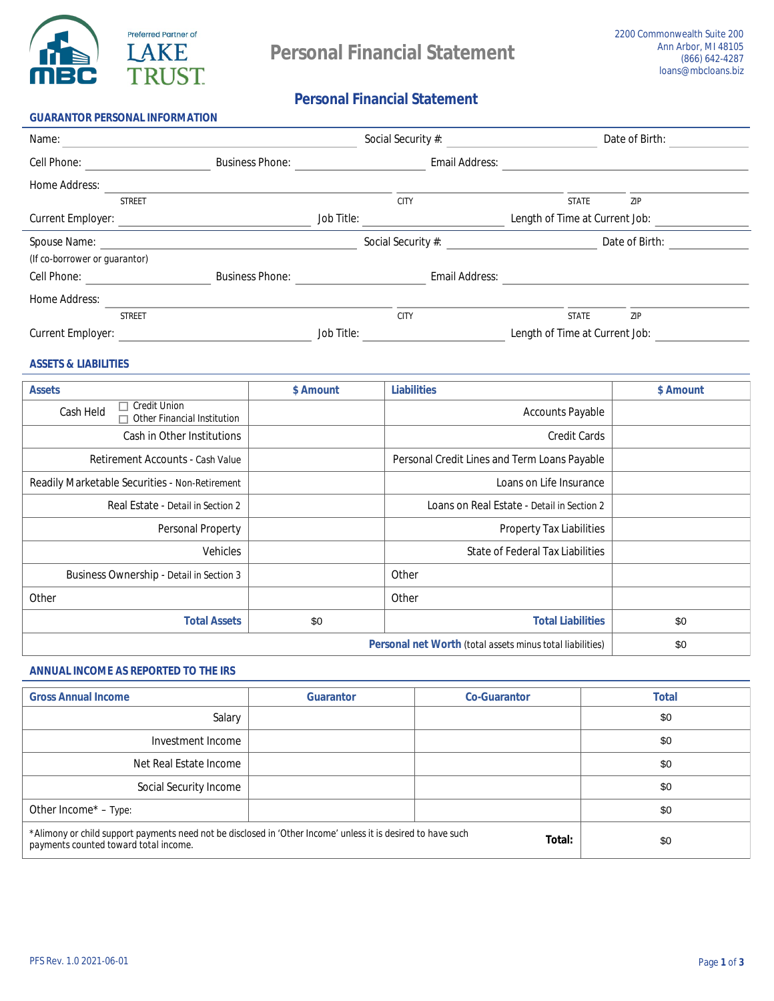

**GUARANTOR PERSONAL INFORMATION** 

# **Personal Financial Statement**

| Name:                         |               |                        |                   | <b>Social Security #:</b> |                                       | Date of Birth: |  |
|-------------------------------|---------------|------------------------|-------------------|---------------------------|---------------------------------------|----------------|--|
| <b>Cell Phone:</b>            |               | <b>Business Phone:</b> |                   | <b>Email Address:</b>     |                                       |                |  |
| <b>Home Address:</b>          |               |                        |                   |                           |                                       |                |  |
|                               | <b>STREET</b> |                        |                   | <b>CITY</b>               | <b>STATE</b>                          | <b>ZIP</b>     |  |
| <b>Current Employer:</b>      |               |                        | <b>Job Title:</b> |                           | <b>Length of Time at Current Job:</b> |                |  |
| <b>Spouse Name:</b>           |               |                        |                   | <b>Social Security #:</b> |                                       | Date of Birth: |  |
| (If co-borrower or guarantor) |               |                        |                   |                           |                                       |                |  |
| <b>Cell Phone:</b>            |               | <b>Business Phone:</b> |                   | <b>Email Address:</b>     |                                       |                |  |
| <b>Home Address:</b>          |               |                        |                   |                           |                                       |                |  |
|                               | <b>STREET</b> |                        |                   | <b>CITY</b>               | <b>STATE</b>                          | <b>ZIP</b>     |  |
| <b>Current Employer:</b>      |               |                        | <b>Job Title:</b> |                           | Length of Time at Current Job:        |                |  |

## **ASSETS & LIABILITIES**

| <b>Assets</b>                                                                 | \$ Amount | <b>Liabilities</b>                                  | \$ Amount |
|-------------------------------------------------------------------------------|-----------|-----------------------------------------------------|-----------|
| <b>Credit Union</b><br><b>Cash Held</b><br><b>Other Financial Institution</b> |           | <b>Accounts Payable</b>                             |           |
| <b>Cash in Other Institutions</b>                                             |           | <b>Credit Cards</b>                                 |           |
| <b>Retirement Accounts - Cash Value</b>                                       |           | <b>Personal Credit Lines and Term Loans Payable</b> |           |
| <b>Readily Marketable Securities - Non-Retirement</b>                         |           | Loans on Life Insurance                             |           |
| Real Estate - Detail in Section 2                                             |           | Loans on Real Estate - Detail in Section 2          |           |
| <b>Personal Property</b>                                                      |           | <b>Property Tax Liabilities</b>                     |           |
| <b>Vehicles</b>                                                               |           | <b>State of Federal Tax Liabilities</b>             |           |
| <b>Business Ownership - Detail in Section 3</b>                               |           | <b>Other</b>                                        |           |
| <b>Other</b>                                                                  |           | <b>Other</b>                                        |           |
| <b>Total Assets</b>                                                           | \$0       | <b>Total Liabilities</b>                            | \$0       |
|                                                                               | \$0       |                                                     |           |

## **ANNUAL INCOME AS REPORTED TO THE IRS**

| <b>Gross Annual Income</b>                                                                                                                            | <b>Guarantor</b> | <b>Co-Guarantor</b> | <b>Total</b> |
|-------------------------------------------------------------------------------------------------------------------------------------------------------|------------------|---------------------|--------------|
| <b>Salary</b>                                                                                                                                         |                  |                     | \$0          |
| <b>Investment Income</b>                                                                                                                              |                  |                     | \$0          |
| <b>Net Real Estate Income</b>                                                                                                                         |                  |                     | \$0          |
| <b>Social Security Income</b>                                                                                                                         |                  |                     | \$0          |
| Other Income* - Type:                                                                                                                                 |                  |                     | \$0          |
| *Alimony or child support payments need not be disclosed in 'Other Income' unless it is desired to have such<br>payments counted toward total income. | \$0              |                     |              |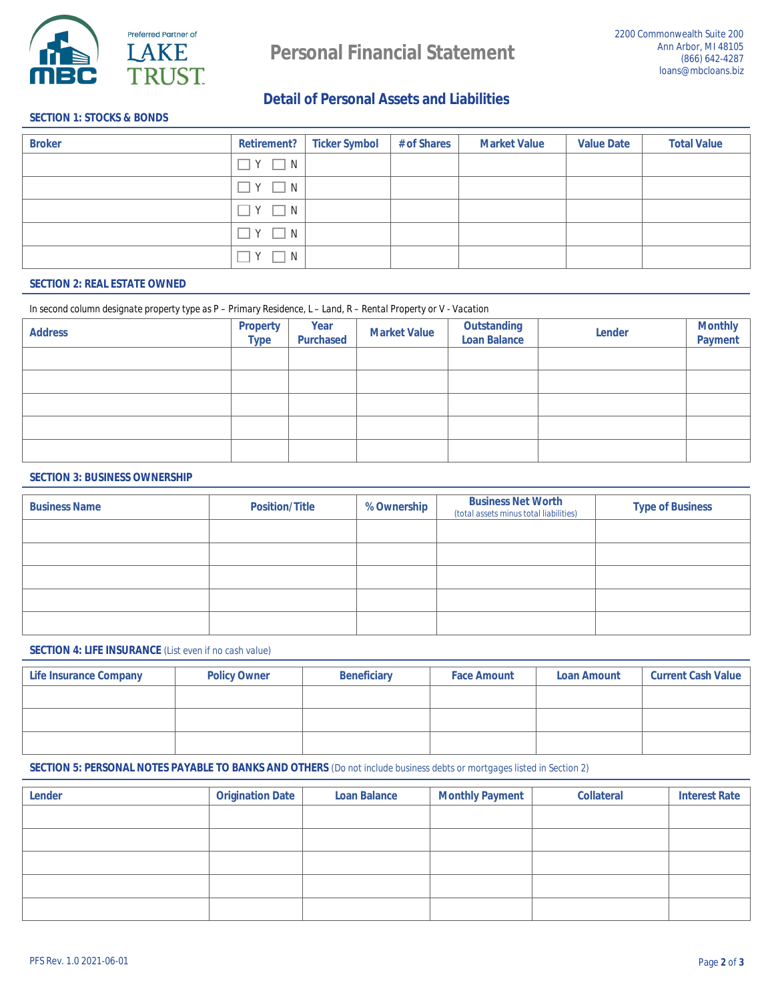

# **Detail of Personal Assets and Liabilities**

## **SECTION 1: STOCKS & BONDS**

| <b>Broker</b> |                        | <b>Retirement?</b> Ticker Symbol | # of Shares | <b>Market Value</b> | <b>Value Date</b> | <b>Total Value</b> |
|---------------|------------------------|----------------------------------|-------------|---------------------|-------------------|--------------------|
|               | $\vert Y \vert \Box N$ |                                  |             |                     |                   |                    |
|               | $Y \square N$          |                                  |             |                     |                   |                    |
|               | $Y \square N$          |                                  |             |                     |                   |                    |
|               | $Y \square N$          |                                  |             |                     |                   |                    |
|               | Y<br>$\Box$ N          |                                  |             |                     |                   |                    |

## **SECTION 2: REAL ESTATE OWNED**

#### In second column designate property type as P - Primary Residence, L - Land, R - Rental Property or V - Vacation

| <b>Address</b> | <b>Property</b><br><b>Type</b> | <b>Year</b><br><b>Purchased</b> | <b>Market Value</b> | <b>Outstanding<br/>Loan Balance</b> | <b>Lender</b> | <b>Monthly<br/>Payment</b> |
|----------------|--------------------------------|---------------------------------|---------------------|-------------------------------------|---------------|----------------------------|
|                |                                |                                 |                     |                                     |               |                            |
|                |                                |                                 |                     |                                     |               |                            |
|                |                                |                                 |                     |                                     |               |                            |
|                |                                |                                 |                     |                                     |               |                            |
|                |                                |                                 |                     |                                     |               |                            |

#### **SECTION 3: BUSINESS OWNERSHIP**

| <b>Business Name</b> | <b>Position/Title</b> | <b>% Ownership</b> | <b>Business Net Worth</b><br>(total assets minus total liabilities) | <b>Type of Business</b> |
|----------------------|-----------------------|--------------------|---------------------------------------------------------------------|-------------------------|
|                      |                       |                    |                                                                     |                         |
|                      |                       |                    |                                                                     |                         |
|                      |                       |                    |                                                                     |                         |
|                      |                       |                    |                                                                     |                         |
|                      |                       |                    |                                                                     |                         |

## **SECTION 4: LIFE INSURANCE** (List even if no cash value)

| <b>Life Insurance Company</b> | <b>Policy Owner</b> | <b>Beneficiary</b> | <b>Face Amount</b> | <b>Loan Amount</b> | <b>Current Cash Value</b> |
|-------------------------------|---------------------|--------------------|--------------------|--------------------|---------------------------|
|                               |                     |                    |                    |                    |                           |
|                               |                     |                    |                    |                    |                           |
|                               |                     |                    |                    |                    |                           |

### **SECTION 5: PERSONAL NOTES PAYABLE TO BANKS AND OTHERS** (Do not include business debts or mortgages listed in Section 2)

| <b>Lender</b> | <b>Origination Date</b> | <b>Loan Balance</b> | <b>Monthly Payment</b> | <b>Collateral</b> | <b>Interest Rate</b> |
|---------------|-------------------------|---------------------|------------------------|-------------------|----------------------|
|               |                         |                     |                        |                   |                      |
|               |                         |                     |                        |                   |                      |
|               |                         |                     |                        |                   |                      |
|               |                         |                     |                        |                   |                      |
|               |                         |                     |                        |                   |                      |